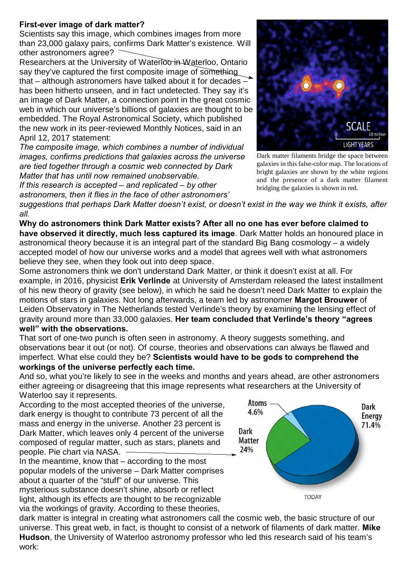## **First-ever image of dark matter?**

Scientists say this image, which combines images from more than 23,000 galaxy pairs, confirms Dark Matter's existence. Will other astronomers agree?

Researchers at the University of Waterloo in Waterloo, Ontario say they've captured the first composite image of something that – although astronomers have talked about it for decades – has been hitherto unseen, and in fact undetected. They say it's an image of Dark Matter, a connection point in the great cosmic web in which our universe's billions of galaxies are thought to be embedded. The Royal Astronomical Society, which published the new work in its peer-reviewed Monthly Notices, said in an April 12, 2017 statement:

*The composite image, which combines a number of individual images, confirms predictions that galaxies across the universe are tied together through a cosmic web connected by Dark Matter that has until now remained unobservable.*

*If this research is accepted – and replicated – by other astronomers, then it flies in the face of other astronomers'*

**SCALE** 50 million **LIGHTYEARS** Dark matter filaments bridge the space between galaxies in this false-color map. The locations of bright galaxies are shown by the white regions and the presence of a dark matter filament

bridging the galaxies is shown in red.

*suggestions that perhaps Dark Matter doesn't exist, or doesn't exist in the way we think it exists, after all.* 

**Why do astronomers think Dark Matter exists? After all no one has ever before claimed to have observed it directly, much less captured its image**. Dark Matter holds an honoured place in astronomical theory because it is an integral part of the standard Big Bang cosmology – a widely accepted model of how our universe works and a model that agrees well with what astronomers believe they see, when they look out into deep space.

Some astronomers think we don't understand Dark Matter, or think it doesn't exist at all. For example, in 2016, physicist **Erik Verlinde** at University of Amsterdam released the latest installment of his new theory of gravity (see below), in which he said he doesn't need Dark Matter to explain the motions of stars in galaxies. Not long afterwards, a team led by astronomer **Margot Brouwer** of Leiden Observatory in The Netherlands tested Verlinde's theory by examining the lensing effect of gravity around more than 33,000 galaxies. **Her team concluded that Verlinde's theory "agrees well" with the observations.**

That sort of one-two punch is often seen in astronomy. A theory suggests something, and observations bear it out (or not). Of course, theories and observations can always be flawed and imperfect. What else could they be? **Scientists would have to be gods to comprehend the workings of the universe perfectly each time.**

And so, what you're likely to see in the weeks and months and years ahead, are other astronomers either agreeing or disagreeing that this image represents what researchers at the University of Waterloo say it represents.

According to the most accepted theories of the universe, dark energy is thought to contribute 73 percent of all the mass and energy in the universe. Another 23 percent is Dark Matter, which leaves only 4 percent of the universe composed of regular matter, such as stars, planets and people. Pie chart via NASA.

In the meantime, know that – according to the most popular models of the universe – Dark Matter comprises about a quarter of the "stuff" of our universe. This mysterious substance doesn't shine, absorb or reflect light, although its effects are thought to be recognizable via the workings of gravity. According to these theories,

**Atoms** Dark 4.6% **Energy** 71.4% **Dark Matter** 24% **TODAY** 

dark matter is integral in creating what astronomers call the cosmic web, the basic structure of our universe. This great web, in fact, is thought to consist of a network of filaments of dark matter. **Mike Hudson**, the University of Waterloo astronomy professor who led this research said of his team's work: